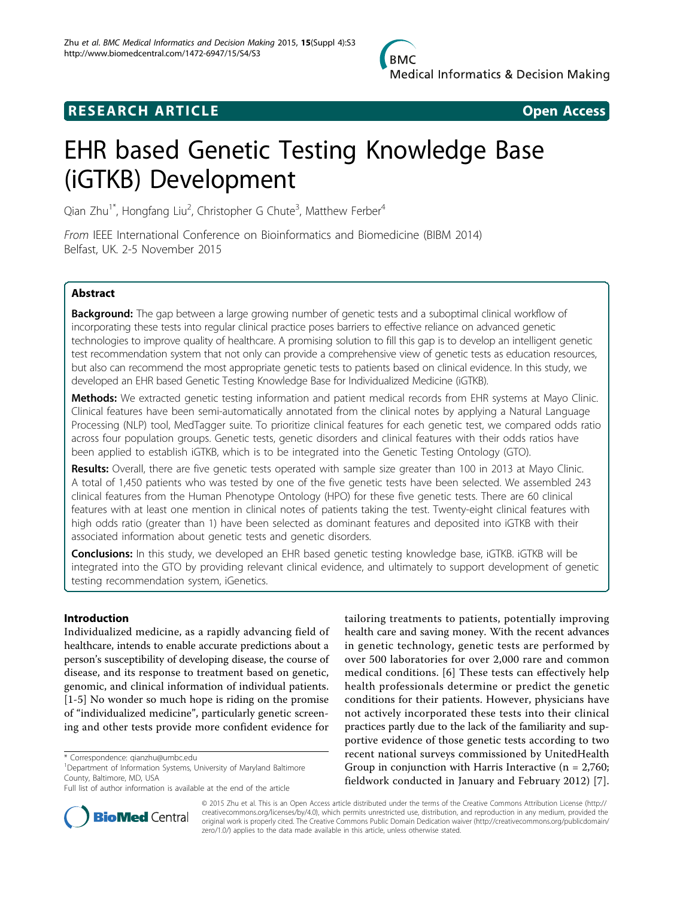

## **RESEARCH ARTICLE CONSUMING ACCESS**



# EHR based Genetic Testing Knowledge Base (iGTKB) Development

Qian Zhu<sup>1\*</sup>, Hongfang Liu<sup>2</sup>, Christopher G Chute<sup>3</sup>, Matthew Ferber<sup>4</sup>

From IEEE International Conference on Bioinformatics and Biomedicine (BIBM 2014) Belfast, UK. 2-5 November 2015

### Abstract

**Background:** The gap between a large growing number of genetic tests and a suboptimal clinical workflow of incorporating these tests into regular clinical practice poses barriers to effective reliance on advanced genetic technologies to improve quality of healthcare. A promising solution to fill this gap is to develop an intelligent genetic test recommendation system that not only can provide a comprehensive view of genetic tests as education resources, but also can recommend the most appropriate genetic tests to patients based on clinical evidence. In this study, we developed an EHR based Genetic Testing Knowledge Base for Individualized Medicine (iGTKB).

Methods: We extracted genetic testing information and patient medical records from EHR systems at Mayo Clinic. Clinical features have been semi-automatically annotated from the clinical notes by applying a Natural Language Processing (NLP) tool, MedTagger suite. To prioritize clinical features for each genetic test, we compared odds ratio across four population groups. Genetic tests, genetic disorders and clinical features with their odds ratios have been applied to establish iGTKB, which is to be integrated into the Genetic Testing Ontology (GTO).

Results: Overall, there are five genetic tests operated with sample size greater than 100 in 2013 at Mayo Clinic. A total of 1,450 patients who was tested by one of the five genetic tests have been selected. We assembled 243 clinical features from the Human Phenotype Ontology (HPO) for these five genetic tests. There are 60 clinical features with at least one mention in clinical notes of patients taking the test. Twenty-eight clinical features with high odds ratio (greater than 1) have been selected as dominant features and deposited into iGTKB with their associated information about genetic tests and genetic disorders.

Conclusions: In this study, we developed an EHR based genetic testing knowledge base, iGTKB. iGTKB will be integrated into the GTO by providing relevant clinical evidence, and ultimately to support development of genetic testing recommendation system, iGenetics.

### Introduction

Individualized medicine, as a rapidly advancing field of healthcare, intends to enable accurate predictions about a person's susceptibility of developing disease, the course of disease, and its response to treatment based on genetic, genomic, and clinical information of individual patients. [[1-5\]](#page-9-0) No wonder so much hope is riding on the promise of "individualized medicine", particularly genetic screening and other tests provide more confident evidence for

tailoring treatments to patients, potentially improving health care and saving money. With the recent advances in genetic technology, genetic tests are performed by over 500 laboratories for over 2,000 rare and common medical conditions. [\[6\]](#page-9-0) These tests can effectively help health professionals determine or predict the genetic conditions for their patients. However, physicians have not actively incorporated these tests into their clinical practices partly due to the lack of the familiarity and supportive evidence of those genetic tests according to two recent national surveys commissioned by UnitedHealth Group in conjunction with Harris Interactive ( $n = 2,760$ ; fieldwork conducted in January and February 2012) [[7](#page-9-0)].



© 2015 Zhu et al. This is an Open Access article distributed under the terms of the Creative Commons Attribution License ([http://](http://creativecommons.org/licenses/by/4.0) [creativecommons.org/licenses/by/4.0](http://creativecommons.org/licenses/by/4.0)), which permits unrestricted use, distribution, and reproduction in any medium, provided the original work is properly cited. The Creative Commons Public Domain Dedication waiver ([http://creativecommons.org/publicdomain/](http://creativecommons.org/publicdomain/zero/1.0/) [zero/1.0/](http://creativecommons.org/publicdomain/zero/1.0/)) applies to the data made available in this article, unless otherwise stated.

<sup>\*</sup> Correspondence: [qianzhu@umbc.edu](mailto:qianzhu@umbc.edu)

<sup>&</sup>lt;sup>1</sup>Department of Information Systems, University of Maryland Baltimore County, Baltimore, MD, USA

Full list of author information is available at the end of the article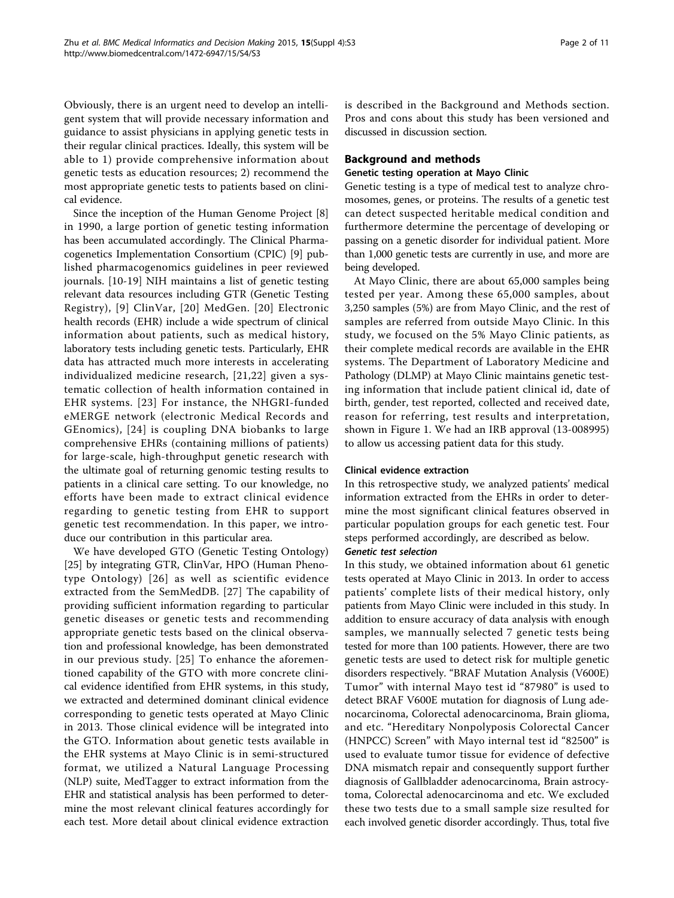Obviously, there is an urgent need to develop an intelligent system that will provide necessary information and guidance to assist physicians in applying genetic tests in their regular clinical practices. Ideally, this system will be able to 1) provide comprehensive information about genetic tests as education resources; 2) recommend the most appropriate genetic tests to patients based on clinical evidence.

Since the inception of the Human Genome Project [[8](#page-9-0)] in 1990, a large portion of genetic testing information has been accumulated accordingly. The Clinical Pharmacogenetics Implementation Consortium (CPIC) [[9\]](#page-9-0) published pharmacogenomics guidelines in peer reviewed journals. [[10](#page-9-0)[-19](#page-10-0)] NIH maintains a list of genetic testing relevant data resources including GTR (Genetic Testing Registry), [[9\]](#page-9-0) ClinVar, [[20](#page-10-0)] MedGen. [[20\]](#page-10-0) Electronic health records (EHR) include a wide spectrum of clinical information about patients, such as medical history, laboratory tests including genetic tests. Particularly, EHR data has attracted much more interests in accelerating individualized medicine research, [[21,22](#page-10-0)] given a systematic collection of health information contained in EHR systems. [[23\]](#page-10-0) For instance, the NHGRI-funded eMERGE network (electronic Medical Records and GEnomics), [[24](#page-10-0)] is coupling DNA biobanks to large comprehensive EHRs (containing millions of patients) for large-scale, high-throughput genetic research with the ultimate goal of returning genomic testing results to patients in a clinical care setting. To our knowledge, no efforts have been made to extract clinical evidence regarding to genetic testing from EHR to support genetic test recommendation. In this paper, we introduce our contribution in this particular area.

We have developed GTO (Genetic Testing Ontology) [[25\]](#page-10-0) by integrating GTR, ClinVar, HPO (Human Phenotype Ontology) [[26\]](#page-10-0) as well as scientific evidence extracted from the SemMedDB. [[27\]](#page-10-0) The capability of providing sufficient information regarding to particular genetic diseases or genetic tests and recommending appropriate genetic tests based on the clinical observation and professional knowledge, has been demonstrated in our previous study. [[25\]](#page-10-0) To enhance the aforementioned capability of the GTO with more concrete clinical evidence identified from EHR systems, in this study, we extracted and determined dominant clinical evidence corresponding to genetic tests operated at Mayo Clinic in 2013. Those clinical evidence will be integrated into the GTO. Information about genetic tests available in the EHR systems at Mayo Clinic is in semi-structured format, we utilized a Natural Language Processing (NLP) suite, MedTagger to extract information from the EHR and statistical analysis has been performed to determine the most relevant clinical features accordingly for each test. More detail about clinical evidence extraction

is described in the Background and Methods section. Pros and cons about this study has been versioned and discussed in discussion section.

### Background and methods

#### Genetic testing operation at Mayo Clinic

Genetic testing is a type of medical test to analyze chromosomes, genes, or proteins. The results of a genetic test can detect suspected heritable medical condition and furthermore determine the percentage of developing or passing on a genetic disorder for individual patient. More than 1,000 genetic tests are currently in use, and more are being developed.

At Mayo Clinic, there are about 65,000 samples being tested per year. Among these 65,000 samples, about 3,250 samples (5%) are from Mayo Clinic, and the rest of samples are referred from outside Mayo Clinic. In this study, we focused on the 5% Mayo Clinic patients, as their complete medical records are available in the EHR systems. The Department of Laboratory Medicine and Pathology (DLMP) at Mayo Clinic maintains genetic testing information that include patient clinical id, date of birth, gender, test reported, collected and received date, reason for referring, test results and interpretation, shown in Figure [1](#page-2-0). We had an IRB approval (13-008995) to allow us accessing patient data for this study.

#### Clinical evidence extraction

In this retrospective study, we analyzed patients' medical information extracted from the EHRs in order to determine the most significant clinical features observed in particular population groups for each genetic test. Four steps performed accordingly, are described as below.

In this study, we obtained information about 61 genetic tests operated at Mayo Clinic in 2013. In order to access patients' complete lists of their medical history, only patients from Mayo Clinic were included in this study. In addition to ensure accuracy of data analysis with enough samples, we mannually selected 7 genetic tests being tested for more than 100 patients. However, there are two genetic tests are used to detect risk for multiple genetic disorders respectively. "BRAF Mutation Analysis (V600E) Tumor" with internal Mayo test id "87980" is used to detect BRAF V600E mutation for diagnosis of Lung adenocarcinoma, Colorectal adenocarcinoma, Brain glioma, and etc. "Hereditary Nonpolyposis Colorectal Cancer (HNPCC) Screen" with Mayo internal test id "82500" is used to evaluate tumor tissue for evidence of defective DNA mismatch repair and consequently support further diagnosis of Gallbladder adenocarcinoma, Brain astrocytoma, Colorectal adenocarcinoma and etc. We excluded these two tests due to a small sample size resulted for each involved genetic disorder accordingly. Thus, total five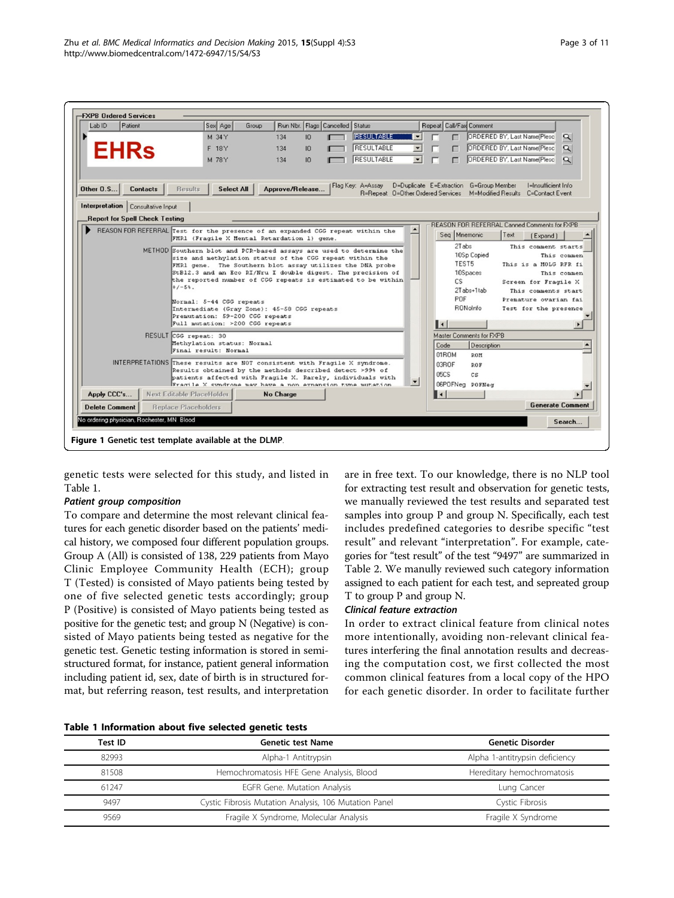<span id="page-2-0"></span>

genetic tests were selected for this study, and listed in Table 1.

To compare and determine the most relevant clinical features for each genetic disorder based on the patients' medical history, we composed four different population groups. Group A (All) is consisted of 138, 229 patients from Mayo Clinic Employee Community Health (ECH); group T (Tested) is consisted of Mayo patients being tested by one of five selected genetic tests accordingly; group P (Positive) is consisted of Mayo patients being tested as positive for the genetic test; and group N (Negative) is consisted of Mayo patients being tested as negative for the genetic test. Genetic testing information is stored in semistructured format, for instance, patient general information including patient id, sex, date of birth is in structured format, but referring reason, test results, and interpretation

are in free text. To our knowledge, there is no NLP tool for extracting test result and observation for genetic tests, we manually reviewed the test results and separated test samples into group P and group N. Specifically, each test includes predefined categories to desribe specific "test result" and relevant "interpretation". For example, categories for "test result" of the test "9497" are summarized in Table [2](#page-3-0). We manully reviewed such category information assigned to each patient for each test, and sepreated group T to group P and group N.

In order to extract clinical feature from clinical notes more intentionally, avoiding non-relevant clinical features interfering the final annotation results and decreasing the computation cost, we first collected the most common clinical features from a local copy of the HPO for each genetic disorder. In order to facilitate further

|  |  | Table 1 Information about five selected genetic tests |  |  |  |  |  |
|--|--|-------------------------------------------------------|--|--|--|--|--|
|--|--|-------------------------------------------------------|--|--|--|--|--|

| Test ID | <b>Genetic test Name</b>                              | <b>Genetic Disorder</b>        |
|---------|-------------------------------------------------------|--------------------------------|
| 82993   | Alpha-1 Antitrypsin                                   | Alpha 1-antitrypsin deficiency |
| 81508   | Hemochromatosis HFE Gene Analysis, Blood              | Hereditary hemochromatosis     |
| 61247   | <b>EGFR Gene. Mutation Analysis</b>                   | Lung Cancer                    |
| 9497    | Cystic Fibrosis Mutation Analysis, 106 Mutation Panel | Cystic Fibrosis                |
| 9569    | Fragile X Syndrome, Molecular Analysis                | Fragile X Syndrome             |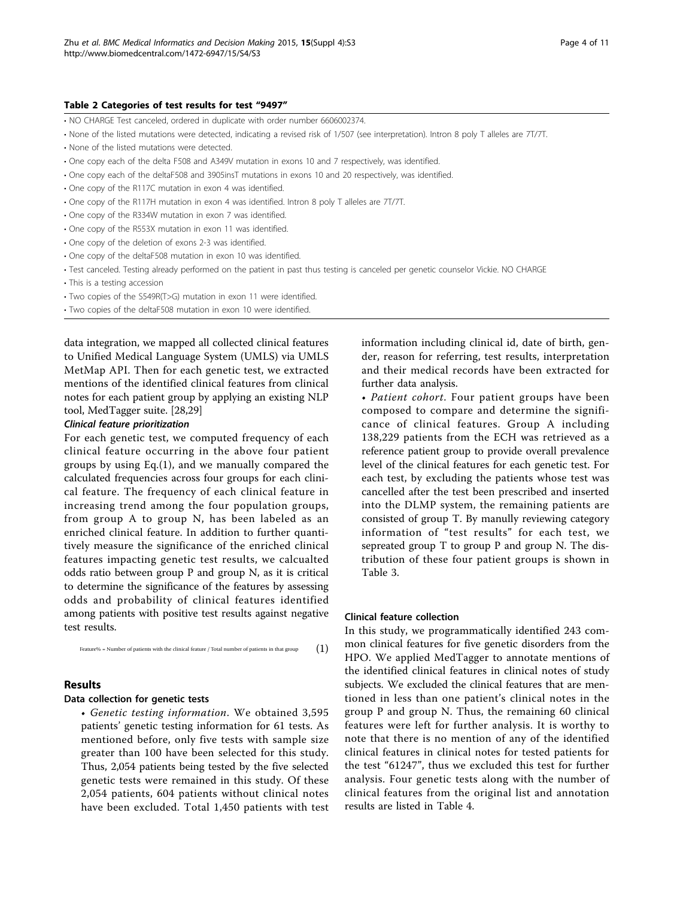#### <span id="page-3-0"></span>Table 2 Categories of test results for test "9497"

• NO CHARGE Test canceled, ordered in duplicate with order number 6606002374.

- None of the listed mutations were detected, indicating a revised risk of 1/507 (see interpretation). Intron 8 poly T alleles are 7T/7T.
- None of the listed mutations were detected.
- One copy each of the delta F508 and A349V mutation in exons 10 and 7 respectively, was identified.
- One copy each of the deltaF508 and 3905insT mutations in exons 10 and 20 respectively, was identified.
- One copy of the R117C mutation in exon 4 was identified.
- One copy of the R117H mutation in exon 4 was identified. Intron 8 poly T alleles are 7T/7T.
- One copy of the R334W mutation in exon 7 was identified.
- One copy of the R553X mutation in exon 11 was identified.
- One copy of the deletion of exons 2-3 was identified.
- One copy of the deltaF508 mutation in exon 10 was identified.
- Test canceled. Testing already performed on the patient in past thus testing is canceled per genetic counselor Vickie. NO CHARGE
- This is a testing accession
- Two copies of the S549R(T>G) mutation in exon 11 were identified.
- Two copies of the deltaF508 mutation in exon 10 were identified.

data integration, we mapped all collected clinical features to Unified Medical Language System (UMLS) via UMLS MetMap API. Then for each genetic test, we extracted mentions of the identified clinical features from clinical notes for each patient group by applying an existing NLP tool, MedTagger suite. [\[28,29\]](#page-10-0)

For each genetic test, we computed frequency of each clinical feature occurring in the above four patient groups by using Eq.(1), and we manually compared the calculated frequencies across four groups for each clinical feature. The frequency of each clinical feature in increasing trend among the four population groups, from group A to group N, has been labeled as an enriched clinical feature. In addition to further quantitively measure the significance of the enriched clinical features impacting genetic test results, we calcualted odds ratio between group P and group N, as it is critical to determine the significance of the features by assessing odds and probability of clinical features identified among patients with positive test results against negative test results.

Feature% = Number of patients with the clinical feature / Total number of patients in that group 
$$
(1)
$$

#### Results

#### Data collection for genetic tests

• Genetic testing information. We obtained 3,595 patients' genetic testing information for 61 tests. As mentioned before, only five tests with sample size greater than 100 have been selected for this study. Thus, 2,054 patients being tested by the five selected genetic tests were remained in this study. Of these 2,054 patients, 604 patients without clinical notes have been excluded. Total 1,450 patients with test information including clinical id, date of birth, gender, reason for referring, test results, interpretation and their medical records have been extracted for further data analysis.

• *Patient cohort*. Four patient groups have been composed to compare and determine the significance of clinical features. Group A including 138,229 patients from the ECH was retrieved as a reference patient group to provide overall prevalence level of the clinical features for each genetic test. For each test, by excluding the patients whose test was cancelled after the test been prescribed and inserted into the DLMP system, the remaining patients are consisted of group T. By manully reviewing category information of "test results" for each test, we sepreated group T to group P and group N. The distribution of these four patient groups is shown in Table [3.](#page-4-0)

#### Clinical feature collection

In this study, we programmatically identified 243 common clinical features for five genetic disorders from the HPO. We applied MedTagger to annotate mentions of the identified clinical features in clinical notes of study subjects. We excluded the clinical features that are mentioned in less than one patient's clinical notes in the group P and group N. Thus, the remaining 60 clinical features were left for further analysis. It is worthy to note that there is no mention of any of the identified clinical features in clinical notes for tested patients for the test "61247", thus we excluded this test for further analysis. Four genetic tests along with the number of clinical features from the original list and annotation results are listed in Table [4](#page-4-0).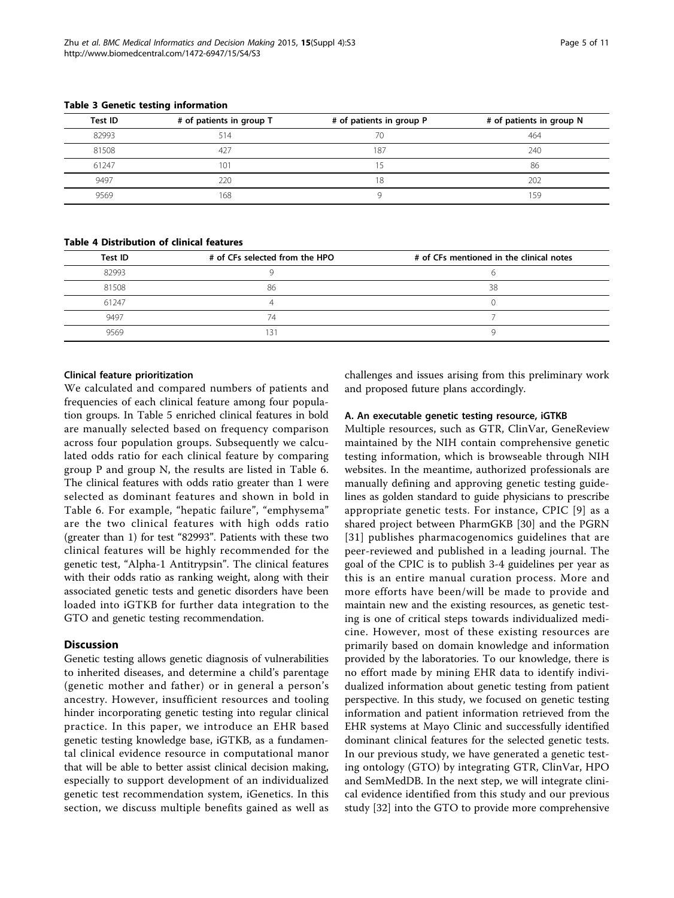| Test ID | # of patients in group T | # of patients in group P | # of patients in group N |
|---------|--------------------------|--------------------------|--------------------------|
| 82993   | 514                      | 70                       | 464                      |
| 81508   | 427                      | 187                      | 240                      |
| 61247   | 101                      |                          | 86                       |
| 9497    | 220                      | 18                       | 202                      |
| 9569    | 168                      |                          | 159                      |

<span id="page-4-0"></span>Table 3 Genetic testing information

Table 4 Distribution of clinical features

| Test ID | # of CFs selected from the HPO | # of CFs mentioned in the clinical notes |
|---------|--------------------------------|------------------------------------------|
| 82993   |                                |                                          |
| 81508   | 86                             | 38                                       |
| 61247   |                                |                                          |
| 9497    | 74                             |                                          |
| 9569    | 131                            |                                          |

#### Clinical feature prioritization

We calculated and compared numbers of patients and frequencies of each clinical feature among four population groups. In Table [5](#page-5-0) enriched clinical features in bold are manually selected based on frequency comparison across four population groups. Subsequently we calculated odds ratio for each clinical feature by comparing group P and group N, the results are listed in Table [6](#page-7-0). The clinical features with odds ratio greater than 1 were selected as dominant features and shown in bold in Table [6.](#page-7-0) For example, "hepatic failure", "emphysema" are the two clinical features with high odds ratio (greater than 1) for test "82993". Patients with these two clinical features will be highly recommended for the genetic test, "Alpha-1 Antitrypsin". The clinical features with their odds ratio as ranking weight, along with their associated genetic tests and genetic disorders have been loaded into iGTKB for further data integration to the GTO and genetic testing recommendation.

#### Discussion

Genetic testing allows genetic diagnosis of vulnerabilities to inherited diseases, and determine a child's parentage (genetic mother and father) or in general a person's ancestry. However, insufficient resources and tooling hinder incorporating genetic testing into regular clinical practice. In this paper, we introduce an EHR based genetic testing knowledge base, iGTKB, as a fundamental clinical evidence resource in computational manor that will be able to better assist clinical decision making, especially to support development of an individualized genetic test recommendation system, iGenetics. In this section, we discuss multiple benefits gained as well as challenges and issues arising from this preliminary work and proposed future plans accordingly.

#### A. An executable genetic testing resource, iGTKB

Multiple resources, such as GTR, ClinVar, GeneReview maintained by the NIH contain comprehensive genetic testing information, which is browseable through NIH websites. In the meantime, authorized professionals are manually defining and approving genetic testing guidelines as golden standard to guide physicians to prescribe appropriate genetic tests. For instance, CPIC [[9\]](#page-9-0) as a shared project between PharmGKB [[30](#page-10-0)] and the PGRN [[31\]](#page-10-0) publishes pharmacogenomics guidelines that are peer-reviewed and published in a leading journal. The goal of the CPIC is to publish 3-4 guidelines per year as this is an entire manual curation process. More and more efforts have been/will be made to provide and maintain new and the existing resources, as genetic testing is one of critical steps towards individualized medicine. However, most of these existing resources are primarily based on domain knowledge and information provided by the laboratories. To our knowledge, there is no effort made by mining EHR data to identify individualized information about genetic testing from patient perspective. In this study, we focused on genetic testing information and patient information retrieved from the EHR systems at Mayo Clinic and successfully identified dominant clinical features for the selected genetic tests. In our previous study, we have generated a genetic testing ontology (GTO) by integrating GTR, ClinVar, HPO and SemMedDB. In the next step, we will integrate clinical evidence identified from this study and our previous study [[32\]](#page-10-0) into the GTO to provide more comprehensive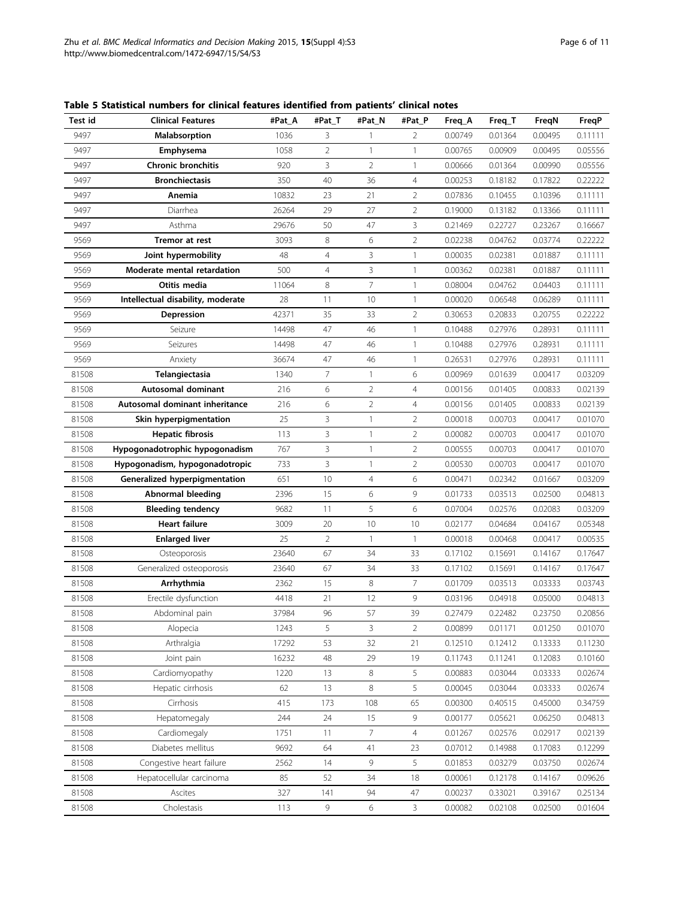<span id="page-5-0"></span>Table 5 Statistical numbers for clinical features identified from patients' clinical notes

| Test id | <b>Clinical Features</b>          | #Pat_A | #Pat_T         | #Pat_N         | #Pat_P         | Freq_A  | Freq_T  | FreqN   | FreqP   |
|---------|-----------------------------------|--------|----------------|----------------|----------------|---------|---------|---------|---------|
| 9497    | <b>Malabsorption</b>              | 1036   | 3              | 1              | 2              | 0.00749 | 0.01364 | 0.00495 | 0.11111 |
| 9497    | Emphysema                         | 1058   | 2              | 1              | $\mathbf{1}$   | 0.00765 | 0.00909 | 0.00495 | 0.05556 |
| 9497    | <b>Chronic bronchitis</b>         | 920    | 3              | $\overline{2}$ | $\mathbf{1}$   | 0.00666 | 0.01364 | 0.00990 | 0.05556 |
| 9497    | <b>Bronchiectasis</b>             | 350    | 40             | 36             | $\overline{4}$ | 0.00253 | 0.18182 | 0.17822 | 0.22222 |
| 9497    | Anemia                            | 10832  | 23             | 21             | $\overline{2}$ | 0.07836 | 0.10455 | 0.10396 | 0.11111 |
| 9497    | Diarrhea                          | 26264  | 29             | 27             | $\overline{2}$ | 0.19000 | 0.13182 | 0.13366 | 0.11111 |
| 9497    | Asthma                            | 29676  | 50             | 47             | 3              | 0.21469 | 0.22727 | 0.23267 | 0.16667 |
| 9569    | Tremor at rest                    | 3093   | 8              | 6              | $\overline{2}$ | 0.02238 | 0.04762 | 0.03774 | 0.22222 |
| 9569    | Joint hypermobility               | 48     | 4              | 3              | $\mathbf{1}$   | 0.00035 | 0.02381 | 0.01887 | 0.11111 |
| 9569    | Moderate mental retardation       | 500    | 4              | 3              | $\mathbf{1}$   | 0.00362 | 0.02381 | 0.01887 | 0.11111 |
| 9569    | Otitis media                      | 11064  | 8              | 7              | $\mathbf{1}$   | 0.08004 | 0.04762 | 0.04403 | 0.11111 |
| 9569    | Intellectual disability, moderate | 28     | 11             | 10             | $\mathbf{1}$   | 0.00020 | 0.06548 | 0.06289 | 0.11111 |
| 9569    | Depression                        | 42371  | 35             | 33             | 2              | 0.30653 | 0.20833 | 0.20755 | 0.22222 |
| 9569    | Seizure                           | 14498  | 47             | 46             | $\mathbf{1}$   | 0.10488 | 0.27976 | 0.28931 | 0.11111 |
| 9569    | Seizures                          | 14498  | 47             | 46             | 1              | 0.10488 | 0.27976 | 0.28931 | 0.11111 |
| 9569    | Anxiety                           | 36674  | 47             | 46             | $\mathbf{1}$   | 0.26531 | 0.27976 | 0.28931 | 0.11111 |
| 81508   | Telangiectasia                    | 1340   | 7              | 1              | 6              | 0.00969 | 0.01639 | 0.00417 | 0.03209 |
| 81508   | Autosomal dominant                | 216    | 6              | $\overline{2}$ | $\overline{4}$ | 0.00156 | 0.01405 | 0.00833 | 0.02139 |
| 81508   | Autosomal dominant inheritance    | 216    | 6              | $\overline{2}$ | $\overline{4}$ | 0.00156 | 0.01405 | 0.00833 | 0.02139 |
| 81508   | Skin hyperpigmentation            | 25     | 3              | 1              | $\overline{2}$ | 0.00018 | 0.00703 | 0.00417 | 0.01070 |
| 81508   | <b>Hepatic fibrosis</b>           | 113    | 3              | 1              | $\overline{2}$ | 0.00082 | 0.00703 | 0.00417 | 0.01070 |
| 81508   | Hypogonadotrophic hypogonadism    | 767    | 3              | 1              | $\overline{2}$ | 0.00555 | 0.00703 | 0.00417 | 0.01070 |
| 81508   | Hypogonadism, hypogonadotropic    | 733    | 3              | 1              | $\overline{2}$ | 0.00530 | 0.00703 | 0.00417 | 0.01070 |
| 81508   | Generalized hyperpigmentation     | 651    | 10             | $\overline{4}$ | 6              | 0.00471 | 0.02342 | 0.01667 | 0.03209 |
| 81508   | Abnormal bleeding                 | 2396   | 15             | 6              | 9              | 0.01733 | 0.03513 | 0.02500 | 0.04813 |
| 81508   | <b>Bleeding tendency</b>          | 9682   | 11             | 5              | 6              | 0.07004 | 0.02576 | 0.02083 | 0.03209 |
| 81508   | <b>Heart failure</b>              | 3009   | 20             | 10             | 10             | 0.02177 | 0.04684 | 0.04167 | 0.05348 |
| 81508   | <b>Enlarged liver</b>             | 25     | $\overline{2}$ | $\mathbf{1}$   | $\mathbf{1}$   | 0.00018 | 0.00468 | 0.00417 | 0.00535 |
| 81508   | Osteoporosis                      | 23640  | 67             | 34             | 33             | 0.17102 | 0.15691 | 0.14167 | 0.17647 |
| 81508   | Generalized osteoporosis          | 23640  | 67             | 34             | 33             | 0.17102 | 0.15691 | 0.14167 | 0.17647 |
| 81508   | Arrhythmia                        | 2362   | 15             | 8              | 7              | 0.01709 | 0.03513 | 0.03333 | 0.03743 |
| 81508   | Erectile dysfunction              | 4418   | 21             | 12             | 9              | 0.03196 | 0.04918 | 0.05000 | 0.04813 |
| 81508   | Abdominal pain                    | 37984  | 96             | 57             | 39             | 0.27479 | 0.22482 | 0.23750 | 0.20856 |
| 81508   | Alopecia                          | 1243   | 5              | 3              | $\overline{2}$ | 0.00899 | 0.01171 | 0.01250 | 0.01070 |
| 81508   | Arthralgia                        | 17292  | 53             | 32             | 21             | 0.12510 | 0.12412 | 0.13333 | 0.11230 |
| 81508   | Joint pain                        | 16232  | 48             | 29             | 19             | 0.11743 | 0.11241 | 0.12083 | 0.10160 |
| 81508   | Cardiomyopathy                    | 1220   | 13             | 8              | 5              | 0.00883 | 0.03044 | 0.03333 | 0.02674 |
| 81508   | Hepatic cirrhosis                 | 62     | 13             | 8              | 5              | 0.00045 | 0.03044 | 0.03333 | 0.02674 |
| 81508   | Cirrhosis                         | 415    | 173            | 108            | 65             | 0.00300 | 0.40515 | 0.45000 | 0.34759 |
| 81508   | Hepatomegaly                      | 244    | 24             | 15             | 9              | 0.00177 | 0.05621 | 0.06250 | 0.04813 |
| 81508   | Cardiomegaly                      | 1751   | 11             | 7              | $\overline{4}$ | 0.01267 | 0.02576 | 0.02917 | 0.02139 |
| 81508   | Diabetes mellitus                 | 9692   | 64             | 41             | 23             | 0.07012 | 0.14988 | 0.17083 | 0.12299 |
| 81508   | Congestive heart failure          | 2562   | 14             | 9              | 5              | 0.01853 | 0.03279 | 0.03750 | 0.02674 |
| 81508   | Hepatocellular carcinoma          | 85     | 52             | 34             | 18             | 0.00061 | 0.12178 | 0.14167 | 0.09626 |
| 81508   | Ascites                           | 327    | 141            | 94             | 47             | 0.00237 | 0.33021 | 0.39167 | 0.25134 |
| 81508   | Cholestasis                       | 113    | 9              | 6              | 3              | 0.00082 | 0.02108 | 0.02500 | 0.01604 |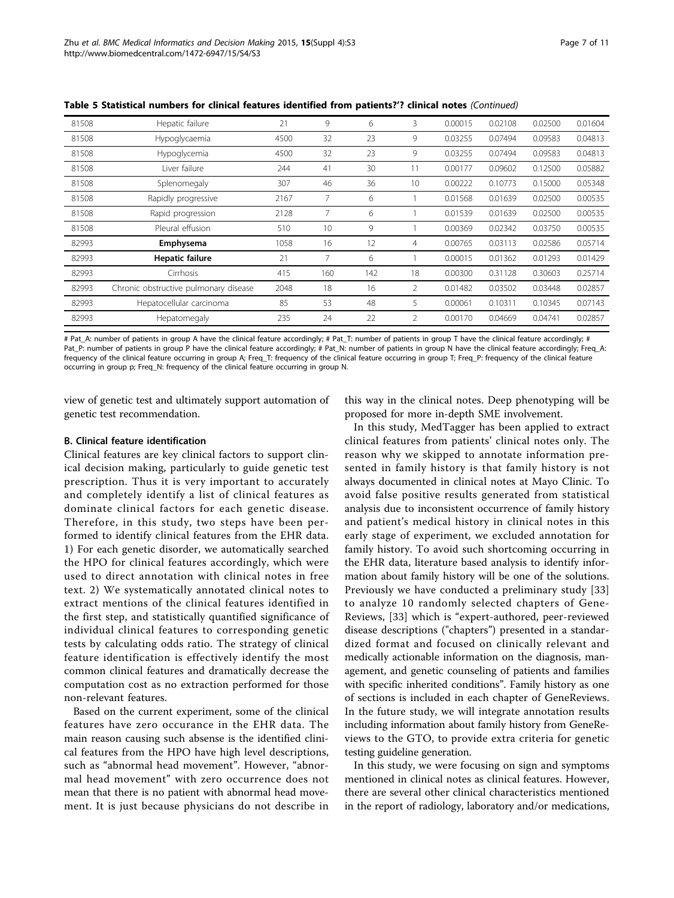| 81508 | Hepatic failure                       | 21   | 9   | 6   | 3               | 0.00015 | 0.02108 | 0.02500 | 0.01604 |
|-------|---------------------------------------|------|-----|-----|-----------------|---------|---------|---------|---------|
| 81508 | Hypoglycaemia                         | 4500 | 32  | 23  | 9               | 0.03255 | 0.07494 | 0.09583 | 0.04813 |
| 81508 | Hypoglycemia                          | 4500 | 32  | 23  | 9               | 0.03255 | 0.07494 | 0.09583 | 0.04813 |
| 81508 | Liver failure                         | 244  | 41  | 30  | 11              | 0.00177 | 0.09602 | 0.12500 | 0.05882 |
| 81508 | Splenomegaly                          | 307  | 46  | 36  | 10 <sup>°</sup> | 0.00222 | 0.10773 | 0.15000 | 0.05348 |
| 81508 | Rapidly progressive                   | 2167 | 7   | 6   |                 | 0.01568 | 0.01639 | 0.02500 | 0.00535 |
| 81508 | Rapid progression                     | 2128 | 7   | 6   |                 | 0.01539 | 0.01639 | 0.02500 | 0.00535 |
| 81508 | Pleural effusion                      | 510  | 10  | 9   |                 | 0.00369 | 0.02342 | 0.03750 | 0.00535 |
| 82993 | Emphysema                             | 1058 | 16  | 12  | 4               | 0.00765 | 0.03113 | 0.02586 | 0.05714 |
| 82993 | <b>Hepatic failure</b>                | 21   | 7   | 6   |                 | 0.00015 | 0.01362 | 0.01293 | 0.01429 |
| 82993 | Cirrhosis                             | 415  | 160 | 142 | 18              | 0.00300 | 0.31128 | 0.30603 | 0.25714 |
| 82993 | Chronic obstructive pulmonary disease | 2048 | 18  | 16  | 2               | 0.01482 | 0.03502 | 0.03448 | 0.02857 |
| 82993 | Hepatocellular carcinoma              | 85   | 53  | 48  | 5               | 0.00061 | 0.10311 | 0.10345 | 0.07143 |
| 82993 | Hepatomegaly                          | 235  | 24  | 22  | 2               | 0.00170 | 0.04669 | 0.04741 | 0.02857 |

Table 5 Statistical numbers for clinical features identified from patients?'? clinical notes (Continued)

# Pat\_A: number of patients in group A have the clinical feature accordingly; # Pat\_T: number of patients in group T have the clinical feature accordingly; # Pat\_P: number of patients in group P have the clinical feature accordingly; # Pat\_N: number of patients in group N have the clinical feature accordingly; Freq\_A: frequency of the clinical feature occurring in group A; Freq\_T: frequency of the clinical feature occurring in group T; Freq\_P: frequency of the clinical feature occurring in group p; Freq\_N: frequency of the clinical feature occurring in group N.

view of genetic test and ultimately support automation of genetic test recommendation.

#### B. Clinical feature identification

Clinical features are key clinical factors to support clinical decision making, particularly to guide genetic test prescription. Thus it is very important to accurately and completely identify a list of clinical features as dominate clinical factors for each genetic disease. Therefore, in this study, two steps have been performed to identify clinical features from the EHR data. 1) For each genetic disorder, we automatically searched the HPO for clinical features accordingly, which were used to direct annotation with clinical notes in free text. 2) We systematically annotated clinical notes to extract mentions of the clinical features identified in the first step, and statistically quantified significance of individual clinical features to corresponding genetic tests by calculating odds ratio. The strategy of clinical feature identification is effectively identify the most common clinical features and dramatically decrease the computation cost as no extraction performed for those non-relevant features.

Based on the current experiment, some of the clinical features have zero occurance in the EHR data. The main reason causing such absense is the identified clinical features from the HPO have high level descriptions, such as "abnormal head movement". However, "abnormal head movement" with zero occurrence does not mean that there is no patient with abnormal head movement. It is just because physicians do not describe in this way in the clinical notes. Deep phenotyping will be proposed for more in-depth SME involvement.

In this study, MedTagger has been applied to extract clinical features from patients' clinical notes only. The reason why we skipped to annotate information presented in family history is that family history is not always documented in clinical notes at Mayo Clinic. To avoid false positive results generated from statistical analysis due to inconsistent occurrence of family history and patient's medical history in clinical notes in this early stage of experiment, we excluded annotation for family history. To avoid such shortcoming occurring in the EHR data, literature based analysis to identify information about family history will be one of the solutions. Previously we have conducted a preliminary study [\[33](#page-10-0)] to analyze 10 randomly selected chapters of Gene-Reviews, [[33](#page-10-0)] which is "expert-authored, peer-reviewed disease descriptions ("chapters") presented in a standardized format and focused on clinically relevant and medically actionable information on the diagnosis, management, and genetic counseling of patients and families with specific inherited conditions". Family history as one of sections is included in each chapter of GeneReviews. In the future study, we will integrate annotation results including information about family history from GeneReviews to the GTO, to provide extra criteria for genetic testing guideline generation.

In this study, we were focusing on sign and symptoms mentioned in clinical notes as clinical features. However, there are several other clinical characteristics mentioned in the report of radiology, laboratory and/or medications,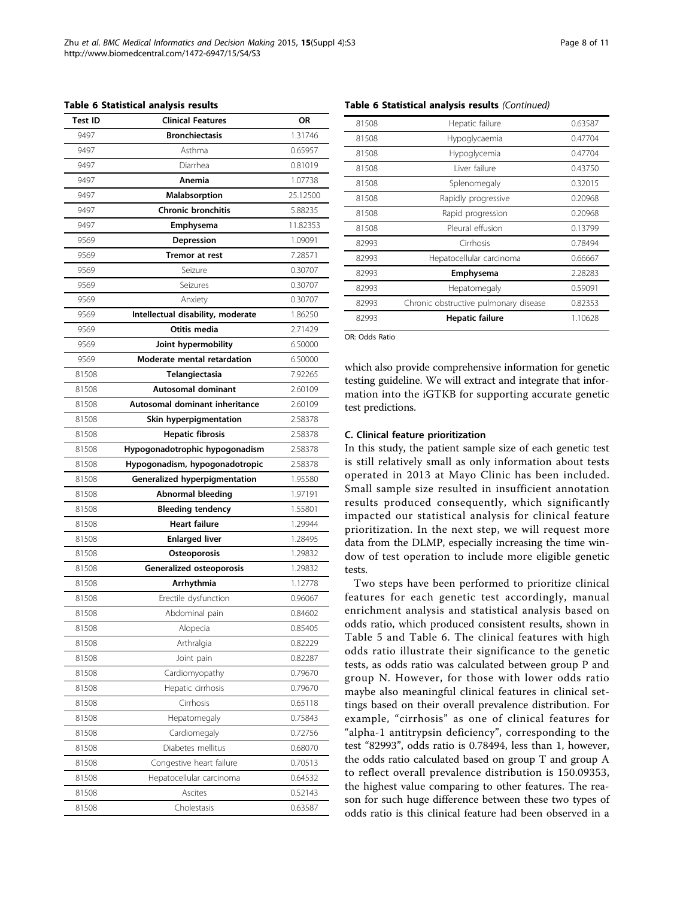<span id="page-7-0"></span>Table 6 Statistical analysis results

#### Table 6 Statistical analysis results (Continued)

| <b>Test ID</b> | <b>Clinical Features</b>          | OR       |
|----------------|-----------------------------------|----------|
| 9497           | <b>Bronchiectasis</b>             | 1.31746  |
| 9497           | Asthma                            | 0.65957  |
| 9497           | Diarrhea                          | 0.81019  |
| 9497           | Anemia                            | 1.07738  |
| 9497           | Malabsorption                     | 25.12500 |
| 9497           | <b>Chronic bronchitis</b>         | 5.88235  |
| 9497           | Emphysema                         | 11.82353 |
| 9569           | Depression                        | 1.09091  |
| 9569           | Tremor at rest                    | 7.28571  |
| 9569           | Seizure                           | 0.30707  |
| 9569           | Seizures                          | 0.30707  |
| 9569           | Anxiety                           | 0.30707  |
| 9569           | Intellectual disability, moderate | 1.86250  |
| 9569           | Otitis media                      | 2.71429  |
| 9569           | Joint hypermobility               | 6.50000  |
| 9569           | Moderate mental retardation       | 6.50000  |
| 81508          | Telangiectasia                    | 7.92265  |
| 81508          | <b>Autosomal dominant</b>         | 2.60109  |
| 81508          | Autosomal dominant inheritance    | 2.60109  |
| 81508          | Skin hyperpigmentation            | 2.58378  |
| 81508          | <b>Hepatic fibrosis</b>           | 2.58378  |
| 81508          | Hypogonadotrophic hypogonadism    | 2.58378  |
| 81508          | Hypogonadism, hypogonadotropic    | 2.58378  |
| 81508          | Generalized hyperpigmentation     | 1.95580  |
| 81508          | <b>Abnormal bleeding</b>          | 1.97191  |
| 81508          | <b>Bleeding tendency</b>          | 1.55801  |
| 81508          | <b>Heart failure</b>              | 1.29944  |
| 81508          | <b>Enlarged liver</b>             | 1.28495  |
| 81508          | Osteoporosis                      | 1.29832  |
| 81508          | Generalized osteoporosis          | 1.29832  |
| 81508          | Arrhythmia                        | 1.12778  |
| 81508          | Erectile dysfunction              | 0.96067  |
| 81508          | Abdominal pain                    | 0.84602  |
| 81508          | Alopecia                          | 0.85405  |
| 81508          | Arthralgia                        | 0.82229  |
| 81508          | Joint pain                        | 0.82287  |
| 81508          | Cardiomyopathy                    | 0.79670  |
| 81508          | Hepatic cirrhosis                 | 0.79670  |
| 81508          | Cirrhosis                         | 0.65118  |
| 81508          | Hepatomegaly                      | 0.75843  |
| 81508          | Cardiomegaly                      | 0.72756  |
| 81508          | Diabetes mellitus                 | 0.68070  |
| 81508          | Congestive heart failure          | 0.70513  |
| 81508          | Hepatocellular carcinoma          | 0.64532  |
| 81508          | Ascites                           | 0.52143  |
|                |                                   |          |

| 81508 | Hepatic failure                       | 0.63587 |
|-------|---------------------------------------|---------|
| 81508 | Hypoglycaemia                         | 0.47704 |
| 81508 | Hypoglycemia                          | 0.47704 |
| 81508 | I iver failure                        | 0.43750 |
| 81508 | Splenomegaly                          | 0.32015 |
| 81508 | Rapidly progressive                   | 0.20968 |
| 81508 | Rapid progression                     | 0.20968 |
| 81508 | Pleural effusion                      | 0.13799 |
| 82993 | Cirrhosis                             | 0.78494 |
| 82993 | Hepatocellular carcinoma              | 0.66667 |
| 82993 | Emphysema                             | 2.28283 |
| 82993 | Hepatomegaly                          | 0.59091 |
| 82993 | Chronic obstructive pulmonary disease | 0.82353 |
| 82993 | Hepatic failure                       | 1.10628 |
|       |                                       |         |

OR: Odds Ratio

which also provide comprehensive information for genetic testing guideline. We will extract and integrate that information into the iGTKB for supporting accurate genetic test predictions.

#### C. Clinical feature prioritization

In this study, the patient sample size of each genetic test is still relatively small as only information about tests operated in 2013 at Mayo Clinic has been included. Small sample size resulted in insufficient annotation results produced consequently, which significantly impacted our statistical analysis for clinical feature prioritization. In the next step, we will request more data from the DLMP, especially increasing the time window of test operation to include more eligible genetic tests.

Two steps have been performed to prioritize clinical features for each genetic test accordingly, manual enrichment analysis and statistical analysis based on odds ratio, which produced consistent results, shown in Table [5](#page-5-0) and Table 6. The clinical features with high odds ratio illustrate their significance to the genetic tests, as odds ratio was calculated between group P and group N. However, for those with lower odds ratio maybe also meaningful clinical features in clinical settings based on their overall prevalence distribution. For example, "cirrhosis" as one of clinical features for "alpha-1 antitrypsin deficiency", corresponding to the test "82993", odds ratio is 0.78494, less than 1, however, the odds ratio calculated based on group T and group A to reflect overall prevalence distribution is 150.09353, the highest value comparing to other features. The reason for such huge difference between these two types of odds ratio is this clinical feature had been observed in a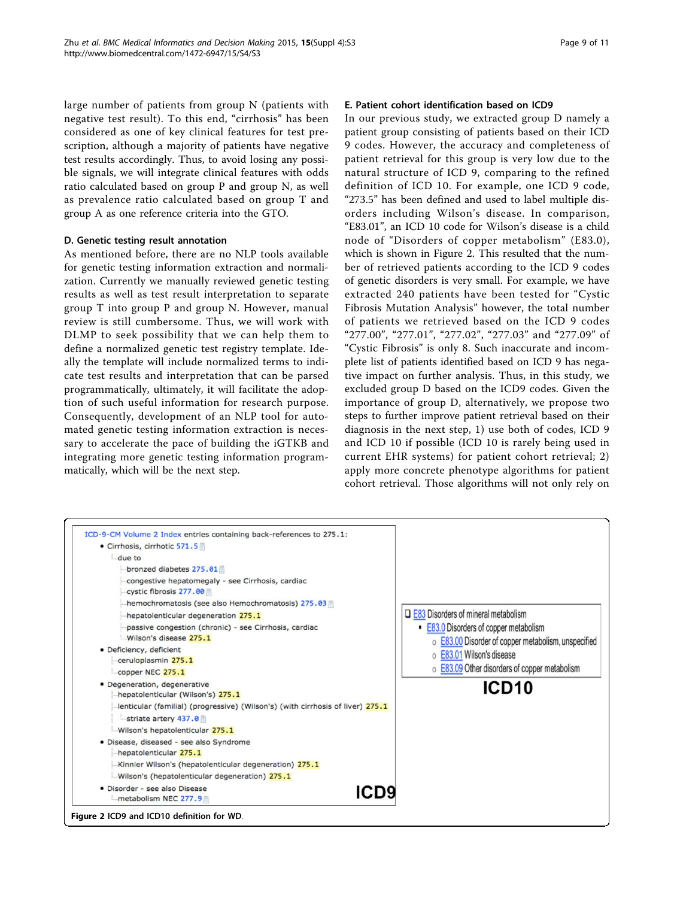large number of patients from group N (patients with negative test result). To this end, "cirrhosis" has been considered as one of key clinical features for test prescription, although a majority of patients have negative test results accordingly. Thus, to avoid losing any possible signals, we will integrate clinical features with odds ratio calculated based on group P and group N, as well as prevalence ratio calculated based on group T and group A as one reference criteria into the GTO.

#### D. Genetic testing result annotation

As mentioned before, there are no NLP tools available for genetic testing information extraction and normalization. Currently we manually reviewed genetic testing results as well as test result interpretation to separate group T into group P and group N. However, manual review is still cumbersome. Thus, we will work with DLMP to seek possibility that we can help them to define a normalized genetic test registry template. Ideally the template will include normalized terms to indicate test results and interpretation that can be parsed programmatically, ultimately, it will facilitate the adoption of such useful information for research purpose. Consequently, development of an NLP tool for automated genetic testing information extraction is necessary to accelerate the pace of building the iGTKB and integrating more genetic testing information programmatically, which will be the next step.

### E. Patient cohort identification based on ICD9

In our previous study, we extracted group D namely a patient group consisting of patients based on their ICD 9 codes. However, the accuracy and completeness of patient retrieval for this group is very low due to the natural structure of ICD 9, comparing to the refined definition of ICD 10. For example, one ICD 9 code, "273.5" has been defined and used to label multiple disorders including Wilson's disease. In comparison, "E83.01", an ICD 10 code for Wilson's disease is a child node of "Disorders of copper metabolism" (E83.0), which is shown in Figure 2. This resulted that the number of retrieved patients according to the ICD 9 codes of genetic disorders is very small. For example, we have extracted 240 patients have been tested for "Cystic Fibrosis Mutation Analysis" however, the total number of patients we retrieved based on the ICD 9 codes "277.00", "277.01", "277.02", "277.03" and "277.09" of "Cystic Fibrosis" is only 8. Such inaccurate and incomplete list of patients identified based on ICD 9 has negative impact on further analysis. Thus, in this study, we excluded group D based on the ICD9 codes. Given the importance of group D, alternatively, we propose two steps to further improve patient retrieval based on their diagnosis in the next step, 1) use both of codes, ICD 9 and ICD 10 if possible (ICD 10 is rarely being used in current EHR systems) for patient cohort retrieval; 2) apply more concrete phenotype algorithms for patient cohort retrieval. Those algorithms will not only rely on

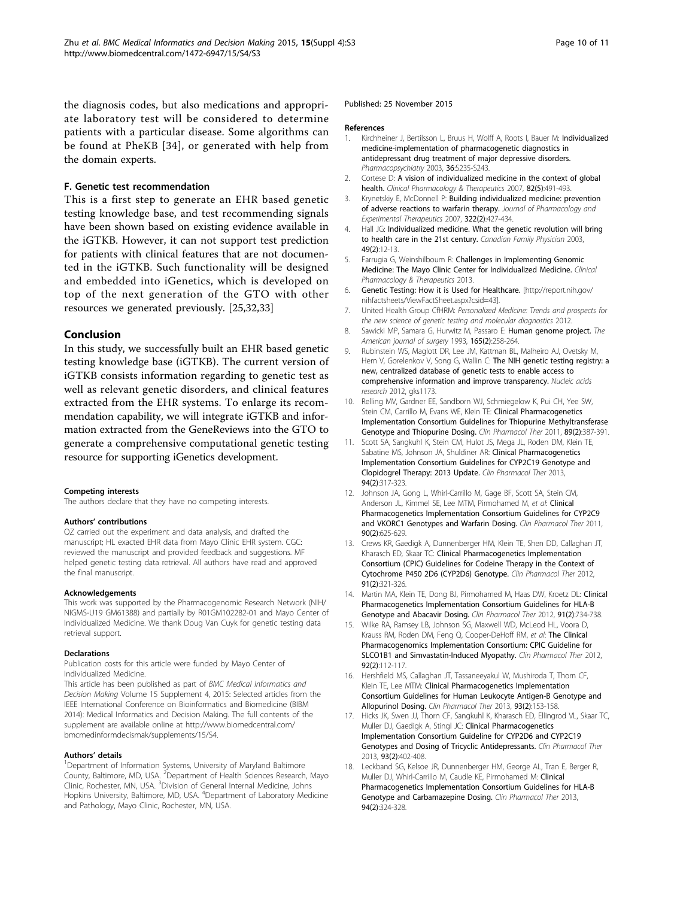<span id="page-9-0"></span>the diagnosis codes, but also medications and appropriate laboratory test will be considered to determine patients with a particular disease. Some algorithms can be found at PheKB [[34](#page-10-0)], or generated with help from the domain experts.

#### F. Genetic test recommendation

This is a first step to generate an EHR based genetic testing knowledge base, and test recommending signals have been shown based on existing evidence available in the iGTKB. However, it can not support test prediction for patients with clinical features that are not documented in the iGTKB. Such functionality will be designed and embedded into iGenetics, which is developed on top of the next generation of the GTO with other resources we generated previously. [\[25,32,33\]](#page-10-0)

#### Conclusion

In this study, we successfully built an EHR based genetic testing knowledge base (iGTKB). The current version of iGTKB consists information regarding to genetic test as well as relevant genetic disorders, and clinical features extracted from the EHR systems. To enlarge its recommendation capability, we will integrate iGTKB and information extracted from the GeneReviews into the GTO to generate a comprehensive computational genetic testing resource for supporting iGenetics development.

#### Competing interests

The authors declare that they have no competing interests.

#### Authors' contributions

QZ carried out the experiment and data analysis, and drafted the manuscript; HL exacted EHR data from Mayo Clinic EHR system. CGC: reviewed the manuscript and provided feedback and suggestions. MF helped genetic testing data retrieval. All authors have read and approved the final manuscript.

#### Acknowledgements

This work was supported by the Pharmacogenomic Research Network (NIH/ NIGMS-U19 GM61388) and partially by R01GM102282-01 and Mayo Center of Individualized Medicine. We thank Doug Van Cuyk for genetic testing data retrieval support.

#### **Declarations**

Publication costs for this article were funded by Mayo Center of Individualized Medicine.

This article has been published as part of BMC Medical Informatics and Decision Making Volume 15 Supplement 4, 2015: Selected articles from the IEEE International Conference on Bioinformatics and Biomedicine (BIBM 2014): Medical Informatics and Decision Making. The full contents of the supplement are available online at [http://www.biomedcentral.com/](http://www.biomedcentral.com/bmcmedinformdecismak/supplements/15/S4) [bmcmedinformdecismak/supplements/15/S4.](http://www.biomedcentral.com/bmcmedinformdecismak/supplements/15/S4)

#### Authors' details <sup>1</sup>

<sup>1</sup>Department of Information Systems, University of Maryland Baltimore County, Baltimore, MD, USA. <sup>2</sup>Department of Health Sciences Research, Mayo Clinic, Rochester, MN, USA. <sup>3</sup>Division of General Internal Medicine, Johns Hopkins University, Baltimore, MD, USA. <sup>4</sup>Department of Laboratory Medicine and Pathology, Mayo Clinic, Rochester, MN, USA.

#### Published: 25 November 2015

#### References

- 1. Kirchheiner J, Bertilsson L, Bruus H, Wolff A, Roots I, Bauer M: Individualized medicine-implementation of pharmacogenetic diagnostics in antidepressant drug treatment of major depressive disorders. Pharmacopsychiatry 2003, 36:S235-S243.
- 2. Cortese D: A vision of individualized medicine in the context of global health. Clinical Pharmacology & Therapeutics 2007, 82(5):491-493.
- 3. Krynetskiy E, McDonnell P: Building individualized medicine: prevention of adverse reactions to warfarin therapy. Journal of Pharmacology and Experimental Therapeutics 2007, 322(2):427-434.
- 4. Hall JG: Individualized medicine. What the genetic revolution will bring to health care in the 21st century. Canadian Family Physician 2003, 49(2):12-13.
- 5. Farrugia G, Weinshilboum R: Challenges in Implementing Genomic Medicine: The Mayo Clinic Center for Individualized Medicine. Clinical Pharmacology & Therapeutics 2013.
- 6. Genetic Testing: How it is Used for Healthcare. [\[http://report.nih.gov/](http://report.nih.gov/nihfactsheets/ViewFactSheet.aspx?csid=43) [nihfactsheets/ViewFactSheet.aspx?csid=43\]](http://report.nih.gov/nihfactsheets/ViewFactSheet.aspx?csid=43).
- 7. United Health Group CfHRM: Personalized Medicine: Trends and prospects for the new science of genetic testing and molecular diagnostics 2012.
- 8. Sawicki MP, Samara G, Hurwitz M, Passaro E: Human genome project. The American journal of surgery 1993, 165(2):258-264.
- 9. Rubinstein WS, Maglott DR, Lee JM, Kattman BL, Malheiro AJ, Ovetsky M, Hem V, Gorelenkov V, Song G, Wallin C: The NIH genetic testing registry: a new, centralized database of genetic tests to enable access to comprehensive information and improve transparency. Nucleic acids research 2012, gks1173.
- 10. Relling MV, Gardner EE, Sandborn WJ, Schmiegelow K, Pui CH, Yee SW, Stein CM, Carrillo M, Evans WE, Klein TE: Clinical Pharmacogenetics Implementation Consortium Guidelines for Thiopurine Methyltransferase Genotype and Thiopurine Dosing. Clin Pharmacol Ther 2011, 89(2):387-391.
- 11. Scott SA, Sangkuhl K, Stein CM, Hulot JS, Mega JL, Roden DM, Klein TE, Sabatine MS, Johnson JA, Shuldiner AR: Clinical Pharmacogenetics Implementation Consortium Guidelines for CYP2C19 Genotype and Clopidogrel Therapy: 2013 Update. Clin Pharmacol Ther 2013, 94(2):317-323.
- 12. Johnson JA, Gong L, Whirl-Carrillo M, Gage BF, Scott SA, Stein CM, Anderson JL, Kimmel SE, Lee MTM, Pirmohamed M, et al: Clinical Pharmacogenetics Implementation Consortium Guidelines for CYP2C9 and VKORC1 Genotypes and Warfarin Dosing. Clin Pharmacol Ther 2011, 90(2):625-629.
- 13. Crews KR, Gaedigk A, Dunnenberger HM, Klein TE, Shen DD, Callaghan JT, Kharasch ED, Skaar TC: Clinical Pharmacogenetics Implementation Consortium (CPIC) Guidelines for Codeine Therapy in the Context of Cytochrome P450 2D6 (CYP2D6) Genotype. Clin Pharmacol Ther 2012, 91(2):321-326.
- 14. Martin MA, Klein TE, Dong BJ, Pirmohamed M, Haas DW, Kroetz DL: Clinical Pharmacogenetics Implementation Consortium Guidelines for HLA-B Genotype and Abacavir Dosing. Clin Pharmacol Ther 2012, 91(2):734-738.
- 15. Wilke RA, Ramsey LB, Johnson SG, Maxwell WD, McLeod HL, Voora D, Krauss RM, Roden DM, Feng Q, Cooper-DeHoff RM, et al: The Clinical Pharmacogenomics Implementation Consortium: CPIC Guideline for SLCO1B1 and Simvastatin-Induced Myopathy. Clin Pharmacol Ther 2012, 92(2):112-117.
- 16. Hershfield MS, Callaghan JT, Tassaneeyakul W, Mushiroda T, Thorn CF, Klein TE, Lee MTM: Clinical Pharmacogenetics Implementation Consortium Guidelines for Human Leukocyte Antigen-B Genotype and Allopurinol Dosing. Clin Pharmacol Ther 2013, 93(2):153-158.
- 17. Hicks JK, Swen JJ, Thorn CF, Sangkuhl K, Kharasch ED, Ellingrod VL, Skaar TC, Muller DJ, Gaedigk A, Stingl JC: Clinical Pharmacogenetics Implementation Consortium Guideline for CYP2D6 and CYP2C19 Genotypes and Dosing of Tricyclic Antidepressants. Clin Pharmacol Ther 2013, 93(2):402-408.
- 18. Leckband SG, Kelsoe JR, Dunnenberger HM, George AL, Tran E, Berger R, Muller DJ, Whirl-Carrillo M, Caudle KE, Pirmohamed M: Clinical Pharmacogenetics Implementation Consortium Guidelines for HLA-B Genotype and Carbamazepine Dosing. Clin Pharmacol Ther 2013, 94(2):324-328.